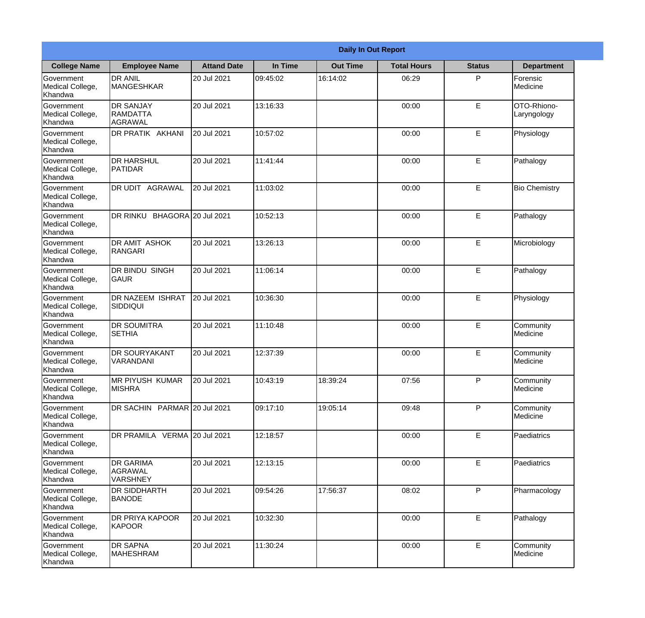|                                                  | <b>Daily In Out Report</b>                     |                    |          |                 |                    |               |                            |  |
|--------------------------------------------------|------------------------------------------------|--------------------|----------|-----------------|--------------------|---------------|----------------------------|--|
| <b>College Name</b>                              | <b>Employee Name</b>                           | <b>Attand Date</b> | In Time  | <b>Out Time</b> | <b>Total Hours</b> | <b>Status</b> | <b>Department</b>          |  |
| Government<br>Medical College,<br>Khandwa        | <b>DR ANIL</b><br><b>MANGESHKAR</b>            | 20 Jul 2021        | 09:45:02 | 16:14:02        | 06:29              | P             | Forensic<br>Medicine       |  |
| Government<br>Medical College,<br>Khandwa        | <b>DR SANJAY</b><br><b>RAMDATTA</b><br>AGRAWAL | 20 Jul 2021        | 13:16:33 |                 | 00:00              | E             | OTO-Rhiono-<br>Laryngology |  |
| <b>Government</b><br>Medical College,<br>Khandwa | DR PRATIK AKHANI                               | 20 Jul 2021        | 10:57:02 |                 | 00:00              | E             | Physiology                 |  |
| Government<br>Medical College,<br>Khandwa        | <b>DR HARSHUL</b><br>PATIDAR                   | 20 Jul 2021        | 11:41:44 |                 | 00:00              | $\mathsf E$   | Pathalogy                  |  |
| Government<br>Medical College,<br>Khandwa        | <b>DR UDIT AGRAWAL</b>                         | 20 Jul 2021        | 11:03:02 |                 | 00:00              | E             | <b>Bio Chemistry</b>       |  |
| Government<br>Medical College,<br>Khandwa        | DR RINKU BHAGORA 20 Jul 2021                   |                    | 10:52:13 |                 | 00:00              | E             | Pathalogy                  |  |
| Government<br>Medical College,<br>Khandwa        | <b>DR AMIT ASHOK</b><br>RANGARI                | 20 Jul 2021        | 13:26:13 |                 | 00:00              | E             | Microbiology               |  |
| Government<br>Medical College,<br>Khandwa        | <b>DR BINDU SINGH</b><br><b>GAUR</b>           | 20 Jul 2021        | 11:06:14 |                 | 00:00              | E             | Pathalogy                  |  |
| Government<br>Medical College,<br>Khandwa        | <b>DR NAZEEM ISHRAT</b><br>SIDDIQUI            | 20 Jul 2021        | 10:36:30 |                 | 00:00              | E             | Physiology                 |  |
| Government<br>Medical College,<br>Khandwa        | <b>DR SOUMITRA</b><br><b>SETHIA</b>            | 20 Jul 2021        | 11:10:48 |                 | 00:00              | E             | Community<br>Medicine      |  |
| Government<br>Medical College,<br>Khandwa        | <b>DR SOURYAKANT</b><br>VARANDANI              | 20 Jul 2021        | 12:37:39 |                 | 00:00              | E             | Community<br>Medicine      |  |
| Government<br>Medical College,<br>Khandwa        | <b>MR PIYUSH KUMAR</b><br><b>MISHRA</b>        | 20 Jul 2021        | 10:43:19 | 18:39:24        | 07:56              | P             | Community<br>Medicine      |  |
| Government<br>Medical College,<br>Khandwa        | DR SACHIN PARMAR 20 Jul 2021                   |                    | 09:17:10 | 19:05:14        | 09:48              | P             | Community<br>Medicine      |  |
| Government<br>Medical College,<br>Khandwa        | DR PRAMILA VERMA 20 Jul 2021                   |                    | 12:18:57 |                 | 00:00              | $\mathsf E$   | Paediatrics                |  |
| <b>Government</b><br>Medical College,<br>Khandwa | <b>DR GARIMA</b><br>AGRAWAL<br><b>VARSHNEY</b> | 20 Jul 2021        | 12:13:15 |                 | 00:00              | E             | <b>Paediatrics</b>         |  |
| Government<br>Medical College,<br>Khandwa        | <b>DR SIDDHARTH</b><br><b>BANODE</b>           | 20 Jul 2021        | 09:54:26 | 17:56:37        | 08:02              | P             | Pharmacology               |  |
| Government<br>Medical College,<br>Khandwa        | <b>DR PRIYA KAPOOR</b><br>KAPOOR               | 20 Jul 2021        | 10:32:30 |                 | 00:00              | E             | Pathalogy                  |  |
| Government<br>Medical College,<br>Khandwa        | <b>DR SAPNA</b><br><b>MAHESHRAM</b>            | 20 Jul 2021        | 11:30:24 |                 | 00:00              | $\mathsf E$   | Community<br>Medicine      |  |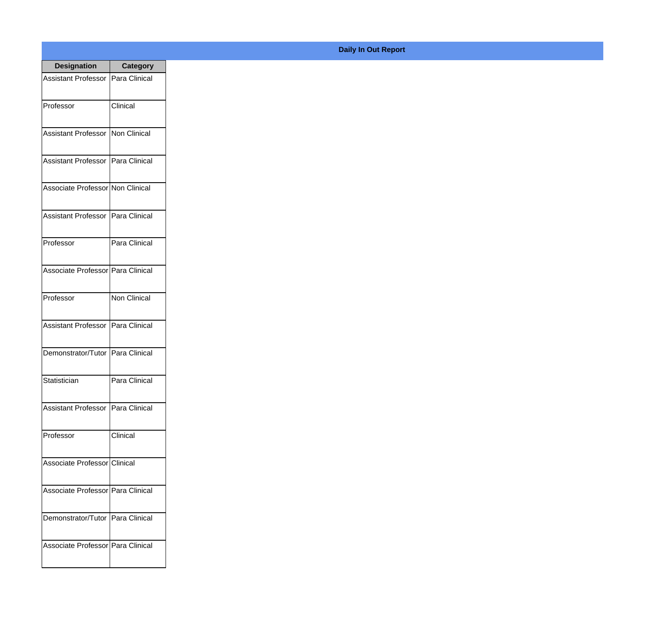| <b>Designation</b>                  | <b>Category</b>     |
|-------------------------------------|---------------------|
| Assistant Professor   Para Clinical |                     |
| Professor                           | Clinical            |
| Assistant Professor   Non Clinical  |                     |
| Assistant Professor   Para Clinical |                     |
| Associate Professor Non Clinical    |                     |
| Assistant Professor   Para Clinical |                     |
| Professor                           | Para Clinical       |
| Associate Professor Para Clinical   |                     |
| Professor                           | <b>Non Clinical</b> |
| Assistant Professor   Para Clinical |                     |
| Demonstrator/Tutor   Para Clinical  |                     |
| Statistician                        | Para Clinical       |
| Assistant Professor   Para Clinical |                     |
| Professor                           | Clinical            |
| Associate Professor Clinical        |                     |
| Associate Professor   Para Clinical |                     |
| Demonstrator/Tutor   Para Clinical  |                     |
| Associate Professor   Para Clinical |                     |

## **Daily In Out Report**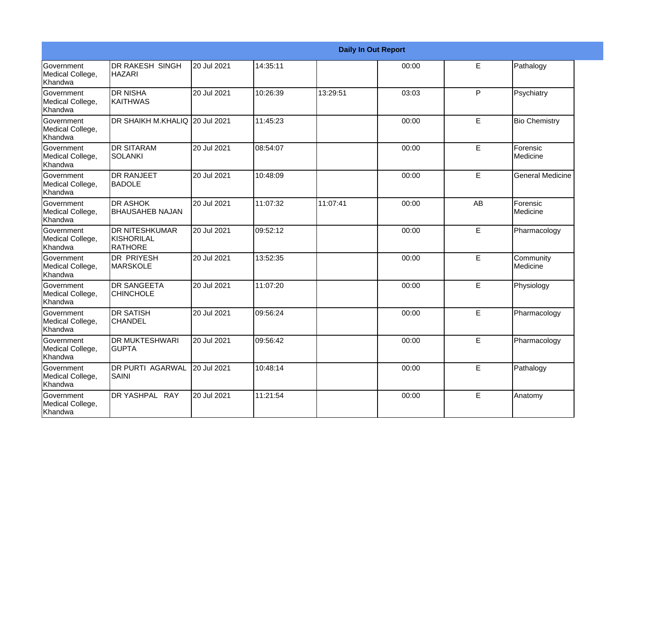|                                                  | <b>Daily In Out Report</b>                     |             |          |          |       |             |                         |  |
|--------------------------------------------------|------------------------------------------------|-------------|----------|----------|-------|-------------|-------------------------|--|
| <b>Government</b><br>Medical College,<br>Khandwa | DR RAKESH SINGH<br>HAZARI                      | 20 Jul 2021 | 14:35:11 |          | 00:00 | E           | Pathalogy               |  |
| Government<br>Medical College,<br>Khandwa        | <b>DR NISHA</b><br><b>KAITHWAS</b>             | 20 Jul 2021 | 10:26:39 | 13:29:51 | 03:03 | P           | Psychiatry              |  |
| <b>Government</b><br>Medical College,<br>Khandwa | DR SHAIKH M.KHALIQ 20 Jul 2021                 |             | 11:45:23 |          | 00:00 | E           | <b>Bio Chemistry</b>    |  |
| Government<br>Medical College,<br>Khandwa        | <b>DR SITARAM</b><br><b>SOLANKI</b>            | 20 Jul 2021 | 08:54:07 |          | 00:00 | $\mathsf E$ | Forensic<br>Medicine    |  |
| <b>Government</b><br>Medical College,<br>Khandwa | <b>DR RANJEET</b><br><b>BADOLE</b>             | 20 Jul 2021 | 10:48:09 |          | 00:00 | E           | <b>General Medicine</b> |  |
| Government<br>Medical College,<br>Khandwa        | <b>DR ASHOK</b><br><b>BHAUSAHEB NAJAN</b>      | 20 Jul 2021 | 11:07:32 | 11:07:41 | 00:00 | AB          | Forensic<br>Medicine    |  |
| <b>Government</b><br>Medical College,<br>Khandwa | <b>DR NITESHKUMAR</b><br>KISHORILAL<br>RATHORE | 20 Jul 2021 | 09:52:12 |          | 00:00 | E           | Pharmacology            |  |
| Government<br>Medical College,<br>Khandwa        | <b>DR PRIYESH</b><br><b>MARSKOLE</b>           | 20 Jul 2021 | 13:52:35 |          | 00:00 | E           | Community<br>Medicine   |  |
| Government<br>Medical College,<br>Khandwa        | <b>IDR SANGEETA</b><br><b>CHINCHOLE</b>        | 20 Jul 2021 | 11:07:20 |          | 00:00 | E           | Physiology              |  |
| Government<br>Medical College,<br>Khandwa        | <b>DR SATISH</b><br><b>CHANDEL</b>             | 20 Jul 2021 | 09:56:24 |          | 00:00 | E           | Pharmacology            |  |
| <b>Government</b><br>Medical College,<br>Khandwa | <b>DR MUKTESHWARI</b><br><b>GUPTA</b>          | 20 Jul 2021 | 09:56:42 |          | 00:00 | E           | Pharmacology            |  |
| Government<br>Medical College,<br>Khandwa        | <b>DR PURTI AGARWAL</b><br>SAINI               | 20 Jul 2021 | 10:48:14 |          | 00:00 | E           | Pathalogy               |  |
| Government<br>Medical College,<br>Khandwa        | DR YASHPAL RAY                                 | 20 Jul 2021 | 11:21:54 |          | 00:00 | E           | Anatomy                 |  |